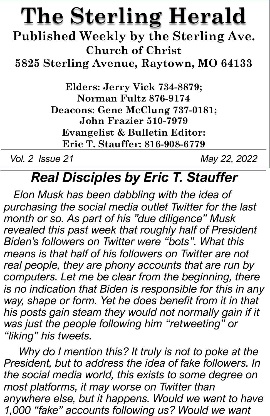## **The Sterling Herald**

**Published Weekly by the Sterling Ave. Church of Christ**

**5825 Sterling Avenue, Raytown, MO 64133**

**Elders: Jerry Vick 734-8879; Norman Fultz 876-9174 Deacons: Gene McClung 737-0181; John Frazier 510-7979 Evangelist & Bulletin Editor: Eric T. Stauffer: 816-908-6779**

*Vol. 2 Issue 21 May 22, 2022*

## *Real Disciples by Eric T. Stauffer*

*Elon Musk has been dabbling with the idea of purchasing the social media outlet Twitter for the last month or so. As part of his "due diligence" Musk revealed this past week that roughly half of President Biden's followers on Twitter were "bots". What this means is that half of his followers on Twitter are not real people, they are phony accounts that are run by computers. Let me be clear from the beginning, there is no indication that Biden is responsible for this in any way, shape or form. Yet he does benefit from it in that*  his posts gain steam they would not normally gain if it *was just the people following him "retweeting" or "liking" his tweets.* 

*Why do I mention this? It truly is not to poke at the President, but to address the idea of fake followers. In the social media world, this exists to some degree on most platforms, it may worse on Twitter than anywhere else, but it happens. Would we want to have 1,000 "fake" accounts following us? Would we want*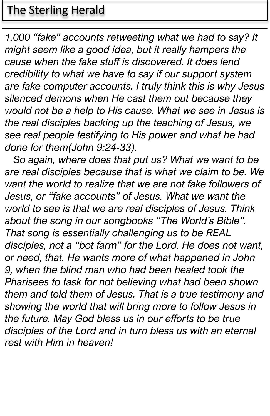### The Sterling Herald

*1,000 "fake" accounts retweeting what we had to say? It might seem like a good idea, but it really hampers the cause when the fake stuff is discovered. It does lend credibility to what we have to say if our support system are fake computer accounts. I truly think this is why Jesus silenced demons when He cast them out because they would not be a help to His cause. What we see in Jesus is the real disciples backing up the teaching of Jesus, we see real people testifying to His power and what he had done for them(John 9:24-33).* 

*So again, where does that put us? What we want to be are real disciples because that is what we claim to be. We want the world to realize that we are not fake followers of Jesus, or "fake accounts" of Jesus. What we want the world to see is that we are real disciples of Jesus. Think about the song in our songbooks "The World's Bible". That song is essentially challenging us to be REAL disciples, not a "bot farm" for the Lord. He does not want, or need, that. He wants more of what happened in John 9, when the blind man who had been healed took the Pharisees to task for not believing what had been shown them and told them of Jesus. That is a true testimony and showing the world that will bring more to follow Jesus in the future. May God bless us in our efforts to be true disciples of the Lord and in turn bless us with an eternal rest with Him in heaven!*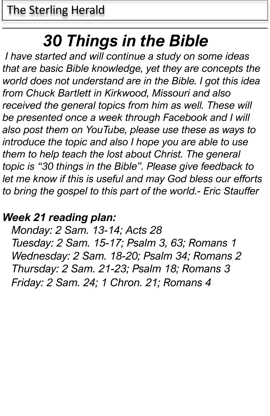## *30 Things in the Bible*

*I have started and will continue a study on some ideas that are basic Bible knowledge, yet they are concepts the world does not understand are in the Bible. I got this idea from Chuck Bartlett in Kirkwood, Missouri and also* received the general topics from him as well. These will *be presented once a week through Facebook and I will also post them on YouTube, please use these as ways to introduce the topic and also I hope you are able to use them to help teach the lost about Christ. The general topic is "30 things in the Bible". Please give feedback to let me know if this is useful and may God bless our efforts to bring the gospel to this part of the world.- Eric Stauffer*

#### *Week 21 reading plan:*

*Monday: 2 Sam. 13-14; Acts 28 Tuesday: 2 Sam. 15-17; Psalm 3, 63; Romans 1 Wednesday: 2 Sam. 18-20; Psalm 34; Romans 2 Thursday: 2 Sam. 21-23; Psalm 18; Romans 3 Friday: 2 Sam. 24; 1 Chron. 21; Romans 4*